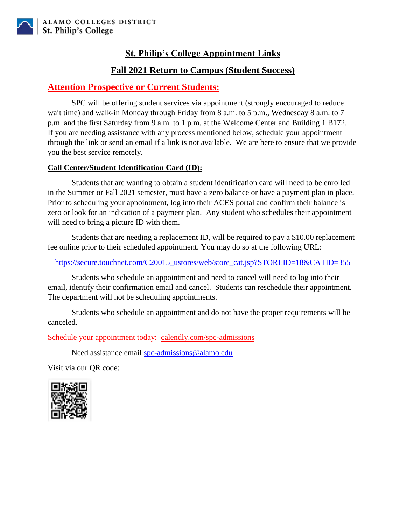# **St. Philip's College Appointment Links**

# **Fall 2021 Return to Campus (Student Success)**

## **Attention Prospective or Current Students:**

SPC will be offering student services via appointment (strongly encouraged to reduce wait time) and walk-in Monday through Friday from 8 a.m. to 5 p.m., Wednesday 8 a.m. to 7 p.m. and the first Saturday from 9 a.m. to 1 p.m. at the Welcome Center and Building 1 B172. If you are needing assistance with any process mentioned below, schedule your appointment through the link or send an email if a link is not available. We are here to ensure that we provide you the best service remotely.

## **Call Center/Student Identification Card (ID):**

Students that are wanting to obtain a student identification card will need to be enrolled in the Summer or Fall 2021 semester, must have a zero balance or have a payment plan in place. Prior to scheduling your appointment, log into their ACES portal and confirm their balance is zero or look for an indication of a payment plan. Any student who schedules their appointment will need to bring a picture ID with them.

Students that are needing a replacement ID, will be required to pay a \$10.00 replacement fee online prior to their scheduled appointment. You may do so at the following URL:

[https://secure.touchnet.com/C20015\\_ustores/web/store\\_cat.jsp?STOREID=18&CATID=355](https://secure.touchnet.com/C20015_ustores/web/store_cat.jsp?STOREID=18&CATID=355)

Students who schedule an appointment and need to cancel will need to log into their email, identify their confirmation email and cancel. Students can reschedule their appointment. The department will not be scheduling appointments.

Students who schedule an appointment and do not have the proper requirements will be canceled.

Schedule your appointment today: [calendly.com/spc-admissions](https://calendly.com/spc-admissions)

Need assistance email [spc-admissions@alamo.edu](mailto:spc-admissions@alamo.edu)

Visit via our QR code:

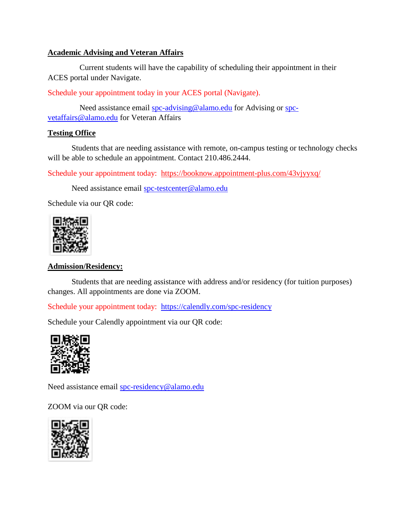### **Academic Advising and Veteran Affairs**

 Current students will have the capability of scheduling their appointment in their ACES portal under Navigate.

Schedule your appointment today in your ACES portal (Navigate).

Need assistance email [spc-advising@alamo.edu](mailto:spc-advising@alamo.edu) for Advising or [spc](mailto:spc-vetaffairs@alamo.edu)[vetaffairs@alamo.edu](mailto:spc-vetaffairs@alamo.edu) for Veteran Affairs

#### **Testing Office**

Students that are needing assistance with remote, on-campus testing or technology checks will be able to schedule an appointment. Contact 210.486.2444.

Schedule your appointment today: <https://booknow.appointment-plus.com/43vjyyxq/>

Need assistance email [spc-testcenter@alamo.edu](mailto:spc-testcenter@alamo.edu)

Schedule via our QR code:



### **Admission/Residency:**

Students that are needing assistance with address and/or residency (for tuition purposes) changes. All appointments are done via ZOOM.

Schedule your appointment today: <https://calendly.com/spc-residency>

Schedule your Calendly appointment via our QR code:



Need assistance email [spc-residency@alamo.edu](mailto:spc-residency@alamo.edu)

ZOOM via our QR code:

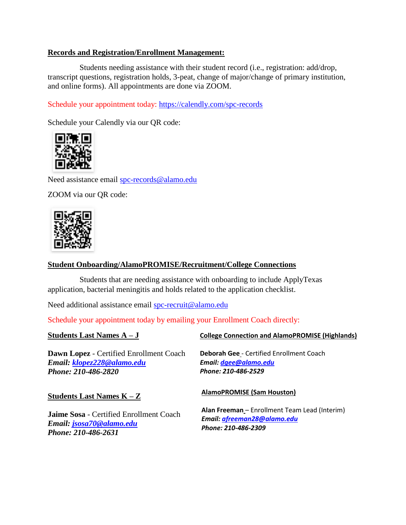### **Records and Registration/Enrollment Management:**

 Students needing assistance with their student record (i.e., registration: add/drop, transcript questions, registration holds, 3-peat, change of major/change of primary institution, and online forms). All appointments are done via ZOOM.

Schedule your appointment today: <https://calendly.com/spc-records>

Schedule your Calendly via our QR code:



Need assistance email [spc-records@alamo.edu](mailto:spc-records@alamo.edu)

ZOOM via our QR code:



### **Student Onboarding/AlamoPROMISE/Recruitment/College Connections**

 Students that are needing assistance with onboarding to include ApplyTexas application, bacterial meningitis and holds related to the application checklist.

Need additional assistance email [spc-recruit@alamo.edu](mailto:spc-recruit@alamo.edu)

Schedule your appointment today by emailing your Enrollment Coach directly:

**Students Last Names A – J Dawn Lopez** - Certified Enrollment Coach *Email: [klopez228@alamo.edu](mailto:klopez228@alamo.edu) Phone: 210-486-2820* **Students Last Names K – Z Jaime Sosa** - Certified Enrollment Coach *Email: [jsosa70@alamo.edu](mailto:jsosa70@alamo.edu) Phone: 210-486-2631* **College Connection and AlamoPROMISE (Highlands) Deborah Gee** - Certified Enrollment Coach *Email[: dgee@alamo.edu](mailto:dgee@alamo.edu) Phone: 210-486-2529* **AlamoPROMISE (Sam Houston) Alan Freeman** – Enrollment Team Lead (Interim) *Email[: afreeman28@alamo.edu](mailto:afreeman28@alamo.edu) Phone: 210-486-2309*